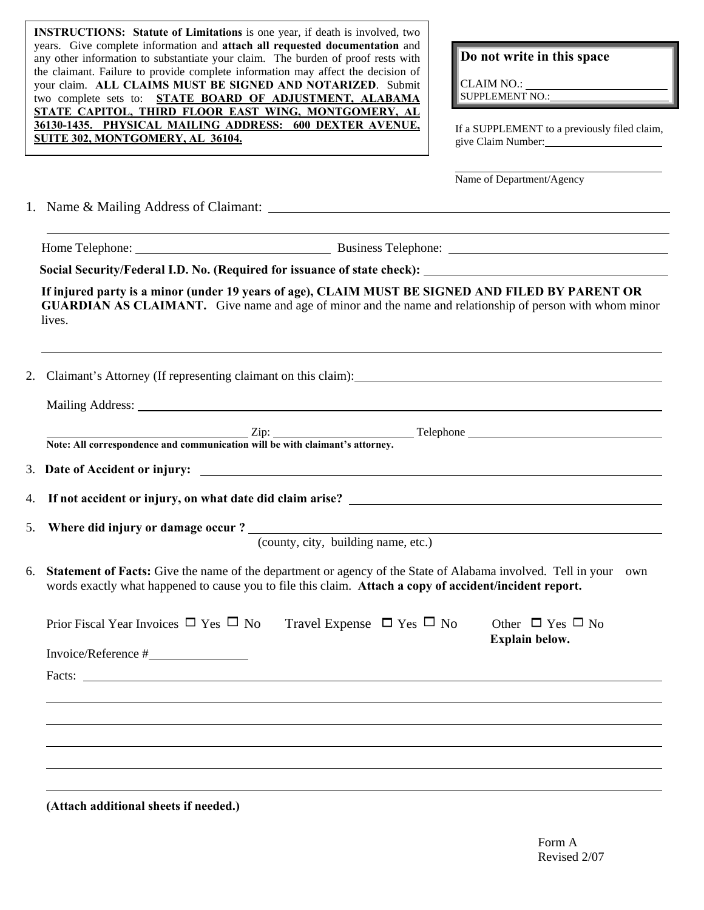**INSTRUCTIONS: Statute of Limitations** is one year, if death is involved, two years. Give complete information and **attach all requested documentation** and any other information to substantiate your claim. The burden of proof rests with the claimant. Failure to provide complete information may affect the decision of your claim. **ALL CLAIMS MUST BE SIGNED AND NOTARIZED**. Submit two complete sets to: **STATE BOARD OF ADJUSTMENT, ALABAMA STATE CAPITOL, THIRD FLOOR EAST WING, MONTGOMERY, AL 36130-1435. PHYSICAL MAILING ADDRESS: 600 DEXTER AVENUE, SOLSU-1435. PHYSICAL MAILING ADDRESS: 600 DEXTER AVENUE.** If a SUPPLEMENT to a previously filed claim, <br>SUITE 302, MONTGOMERY, AL 36104.

## **Do not write in this space**

CLAIM NO.: SUPPLEMENT NO.:

l

give Claim Number:

Name of Department/Agency

Telephone

<u> 1980 - Johann Barn, mars ann an t-Amhain Aonaich an t-Aonaich an t-Aonaich ann an t-Aonaich ann an t-Aonaich</u>

1. Name & Mailing Address of Claimant:

**Home Telephone:** Business Telephone: **Business Telephone: Business Telephone: Business Telephone: Business Telephone: Business Telephone: Business Telephone: Business Telephone: Business Telephone: Busines** 

 $\overline{a}$ 

l

**Social Security/Federal I.D. No. (Required for issuance of state check):** 

**If injured party is a minor (under 19 years of age), CLAIM MUST BE SIGNED AND FILED BY PARENT OR GUARDIAN AS CLAIMANT.** Give name and age of minor and the name and relationship of person with whom minor lives.

2. Claimant's Attorney (If representing claimant on this claim):

Mailing Address:

|                                                                              | $\mathsf{Zip}:$ |
|------------------------------------------------------------------------------|-----------------|
| Note: All correspondence and communication will be with claimant's attorney. |                 |

3. **Date of Accident or injury:** 

4. **If not accident or injury, on what date did claim arise?** 

5. **Where did injury or damage occur ?** 

(county, city, building name, etc.)

6. **Statement of Facts:** Give the name of the department or agency of the State of Alabama involved. Tell in your own words exactly what happened to cause you to file this claim. **Attach a copy of accident/incident report.** 

| Prior Fiscal Year Invoices $\Box$ Yes $\Box$ No Travel Expense $\Box$ Yes $\Box$ No                                                                                                                                                                                                                                                                                                                          | Other $\Box$ Yes $\Box$ No<br><b>Explain below.</b> |
|--------------------------------------------------------------------------------------------------------------------------------------------------------------------------------------------------------------------------------------------------------------------------------------------------------------------------------------------------------------------------------------------------------------|-----------------------------------------------------|
| $Invoice/Reference \#$                                                                                                                                                                                                                                                                                                                                                                                       |                                                     |
| Facts: $\frac{1}{\sqrt{1-\frac{1}{2}}\sqrt{1-\frac{1}{2}}\sqrt{1-\frac{1}{2}}\sqrt{1-\frac{1}{2}}\sqrt{1-\frac{1}{2}}\sqrt{1-\frac{1}{2}}\sqrt{1-\frac{1}{2}}\sqrt{1-\frac{1}{2}}\sqrt{1-\frac{1}{2}}\sqrt{1-\frac{1}{2}}\sqrt{1-\frac{1}{2}}\sqrt{1-\frac{1}{2}}\sqrt{1-\frac{1}{2}}\sqrt{1-\frac{1}{2}}\sqrt{1-\frac{1}{2}}\sqrt{1-\frac{1}{2}}\sqrt{1-\frac{1}{2}}\sqrt{1-\frac{1}{2}}\sqrt{1-\frac{1}{2$ |                                                     |
|                                                                                                                                                                                                                                                                                                                                                                                                              |                                                     |
|                                                                                                                                                                                                                                                                                                                                                                                                              |                                                     |
|                                                                                                                                                                                                                                                                                                                                                                                                              |                                                     |
|                                                                                                                                                                                                                                                                                                                                                                                                              |                                                     |
|                                                                                                                                                                                                                                                                                                                                                                                                              |                                                     |

**(Attach additional sheets if needed.)**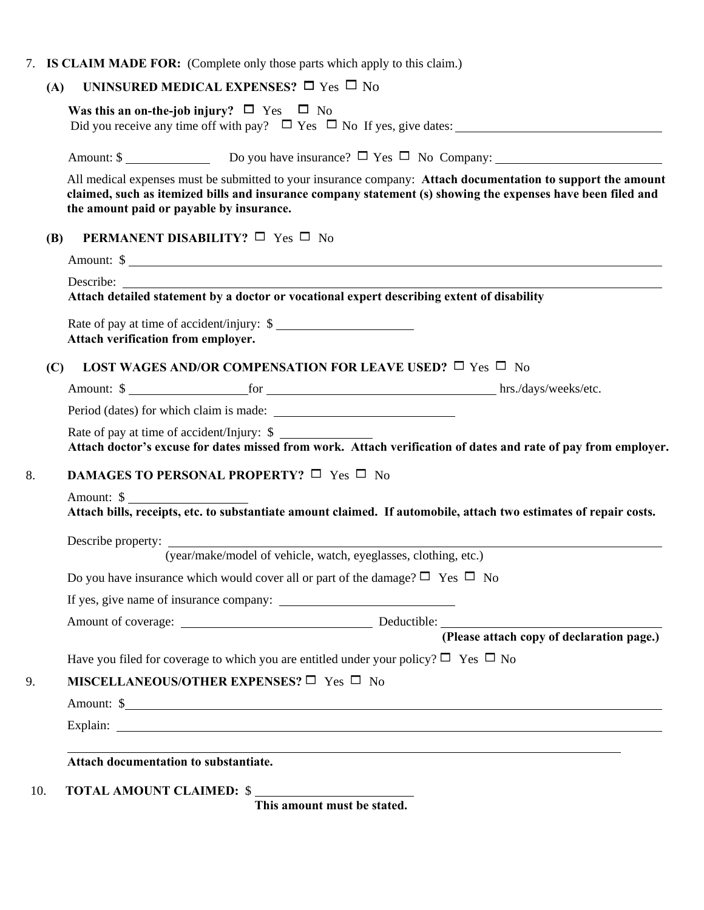7. **IS CLAIM MADE FOR:** (Complete only those parts which apply to this claim.)

## **(A) UNINSURED MEDICAL EXPENSES?**  $\Box$  Yes  $\Box$  No

| MISCELLANEOUS/OTHER EXPENSES? $\Box$ Yes $\Box$ No<br>Amount: \$ |                                                  |                                                                                                                                                                                                                                                                                                                                                                                                                                                                                                                                                                                                                                                                                                                                                                                                                                                                                                                                                                                                                                                                                                                                                   |  |  |
|------------------------------------------------------------------|--------------------------------------------------|---------------------------------------------------------------------------------------------------------------------------------------------------------------------------------------------------------------------------------------------------------------------------------------------------------------------------------------------------------------------------------------------------------------------------------------------------------------------------------------------------------------------------------------------------------------------------------------------------------------------------------------------------------------------------------------------------------------------------------------------------------------------------------------------------------------------------------------------------------------------------------------------------------------------------------------------------------------------------------------------------------------------------------------------------------------------------------------------------------------------------------------------------|--|--|
|                                                                  |                                                  |                                                                                                                                                                                                                                                                                                                                                                                                                                                                                                                                                                                                                                                                                                                                                                                                                                                                                                                                                                                                                                                                                                                                                   |  |  |
|                                                                  |                                                  |                                                                                                                                                                                                                                                                                                                                                                                                                                                                                                                                                                                                                                                                                                                                                                                                                                                                                                                                                                                                                                                                                                                                                   |  |  |
|                                                                  |                                                  |                                                                                                                                                                                                                                                                                                                                                                                                                                                                                                                                                                                                                                                                                                                                                                                                                                                                                                                                                                                                                                                                                                                                                   |  |  |
|                                                                  |                                                  |                                                                                                                                                                                                                                                                                                                                                                                                                                                                                                                                                                                                                                                                                                                                                                                                                                                                                                                                                                                                                                                                                                                                                   |  |  |
|                                                                  |                                                  |                                                                                                                                                                                                                                                                                                                                                                                                                                                                                                                                                                                                                                                                                                                                                                                                                                                                                                                                                                                                                                                                                                                                                   |  |  |
|                                                                  |                                                  |                                                                                                                                                                                                                                                                                                                                                                                                                                                                                                                                                                                                                                                                                                                                                                                                                                                                                                                                                                                                                                                                                                                                                   |  |  |
|                                                                  |                                                  |                                                                                                                                                                                                                                                                                                                                                                                                                                                                                                                                                                                                                                                                                                                                                                                                                                                                                                                                                                                                                                                                                                                                                   |  |  |
|                                                                  |                                                  |                                                                                                                                                                                                                                                                                                                                                                                                                                                                                                                                                                                                                                                                                                                                                                                                                                                                                                                                                                                                                                                                                                                                                   |  |  |
| Amount: \$                                                       |                                                  |                                                                                                                                                                                                                                                                                                                                                                                                                                                                                                                                                                                                                                                                                                                                                                                                                                                                                                                                                                                                                                                                                                                                                   |  |  |
|                                                                  |                                                  |                                                                                                                                                                                                                                                                                                                                                                                                                                                                                                                                                                                                                                                                                                                                                                                                                                                                                                                                                                                                                                                                                                                                                   |  |  |
|                                                                  |                                                  |                                                                                                                                                                                                                                                                                                                                                                                                                                                                                                                                                                                                                                                                                                                                                                                                                                                                                                                                                                                                                                                                                                                                                   |  |  |
|                                                                  |                                                  |                                                                                                                                                                                                                                                                                                                                                                                                                                                                                                                                                                                                                                                                                                                                                                                                                                                                                                                                                                                                                                                                                                                                                   |  |  |
|                                                                  |                                                  |                                                                                                                                                                                                                                                                                                                                                                                                                                                                                                                                                                                                                                                                                                                                                                                                                                                                                                                                                                                                                                                                                                                                                   |  |  |
|                                                                  |                                                  |                                                                                                                                                                                                                                                                                                                                                                                                                                                                                                                                                                                                                                                                                                                                                                                                                                                                                                                                                                                                                                                                                                                                                   |  |  |
|                                                                  |                                                  |                                                                                                                                                                                                                                                                                                                                                                                                                                                                                                                                                                                                                                                                                                                                                                                                                                                                                                                                                                                                                                                                                                                                                   |  |  |
|                                                                  |                                                  |                                                                                                                                                                                                                                                                                                                                                                                                                                                                                                                                                                                                                                                                                                                                                                                                                                                                                                                                                                                                                                                                                                                                                   |  |  |
|                                                                  |                                                  |                                                                                                                                                                                                                                                                                                                                                                                                                                                                                                                                                                                                                                                                                                                                                                                                                                                                                                                                                                                                                                                                                                                                                   |  |  |
|                                                                  |                                                  |                                                                                                                                                                                                                                                                                                                                                                                                                                                                                                                                                                                                                                                                                                                                                                                                                                                                                                                                                                                                                                                                                                                                                   |  |  |
|                                                                  |                                                  |                                                                                                                                                                                                                                                                                                                                                                                                                                                                                                                                                                                                                                                                                                                                                                                                                                                                                                                                                                                                                                                                                                                                                   |  |  |
|                                                                  |                                                  |                                                                                                                                                                                                                                                                                                                                                                                                                                                                                                                                                                                                                                                                                                                                                                                                                                                                                                                                                                                                                                                                                                                                                   |  |  |
| (C)                                                              | <b>(B)</b><br>Attach verification from employer. | All medical expenses must be submitted to your insurance company: Attach documentation to support the amount<br>claimed, such as itemized bills and insurance company statement (s) showing the expenses have been filed and<br>the amount paid or payable by insurance.<br><b>PERMANENT DISABILITY?</b> $\Box$ Yes $\Box$ No<br>Amount: \$<br>Rate of pay at time of accident/injury: \$<br><b>LOST WAGES AND/OR COMPENSATION FOR LEAVE USED?</b> $\Box$ Yes $\Box$ No<br>Amount: \$ hrs./days/weeks/etc.<br>Rate of pay at time of accident/Injury: \$<br>Attach doctor's excuse for dates missed from work. Attach verification of dates and rate of pay from employer.<br><b>DAMAGES TO PERSONAL PROPERTY?</b> $\Box$ Yes $\Box$ No<br>Attach bills, receipts, etc. to substantiate amount claimed. If automobile, attach two estimates of repair costs.<br>Describe property:<br>(year/make/model of vehicle, watch, eyeglasses, clothing, etc.)<br>Do you have insurance which would cover all or part of the damage? $\Box$ Yes $\Box$ No<br>Have you filed for coverage to which you are entitled under your policy? $\Box$ Yes $\Box$ No |  |  |

**This amount must be stated.**